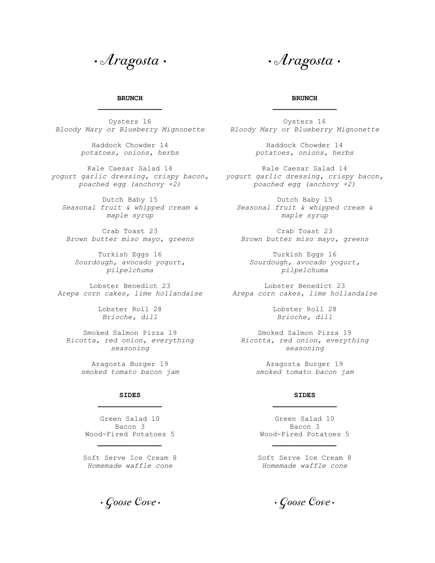**·** Aragosta **·** 

**·** Aragosta **·** 

## **BRUNCH \_\_\_\_\_\_\_\_\_\_\_\_\_\_\_**

Oysters 16 *Bloody Mary or Blueberry Mignonette Bloody Mary or Blueberry Mignonette* 

Haddock Chowder 14 *potatoes, onions, herbs* 

Kale Caesar Salad 14 *yogurt garlic dressing, crispy bacon, yogurt garlic dressing, crispy bacon, poached egg (anchovy +2)* 

Dutch Baby 15 *Seasonal fruit & whipped cream & Seasonal fruit & whipped cream & maple syrup* 

Crab Toast 23 *Brown butter miso mayo, greens Brown butter miso mayo, greens* 

Turkish Eggs 16 *Sourdough, avocado yogurt, pilpelchuma* 

Lobster Benedict 23 *Arepa corn cakes, lime hollandaise Arepa corn cakes, lime hollandaise* 

> Lobster Roll 28 *Brioche, dill*

Smoked Salmon Pizza 19 *seasoning* 

> Aragosta Burger 19 *smoked tomato bacon jam*

## **SIDES \_\_\_\_\_\_\_\_\_\_\_\_\_\_\_**

Green Salad 10 Bacon 3 Wood-Fired Potatoes 5

*\_\_\_\_\_\_\_\_\_\_\_\_\_\_\_*

Soft Serve Ice Cream 8 *Homemade waffle cone* 

**·** Goose Cove **·**

## **BRUNCH \_\_\_\_\_\_\_\_\_\_\_\_\_\_\_**

Oysters 16

Haddock Chowder 14 *potatoes, onions, herbs* 

Kale Caesar Salad 14 *poached egg (anchovy +2)* 

Dutch Baby 15 *maple syrup* 

Crab Toast 23

Turkish Eggs 16 *Sourdough, avocado yogurt, pilpelchuma* 

Lobster Benedict 23

Lobster Roll 28 *Brioche, dill* 

*Ricotta, red onion, everything Ricotta, red onion, everything*  Smoked Salmon Pizza 19 *seasoning* 

> Aragosta Burger 19 *smoked tomato bacon jam*

## **SIDES \_\_\_\_\_\_\_\_\_\_\_\_\_\_\_**

Green Salad 10 Bacon 3 Wood-Fired Potatoes 5

*\_\_\_\_\_\_\_\_\_\_\_\_\_\_\_*

Soft Serve Ice Cream 8 *Homemade waffle cone* 

**·** Goose Cove **·**